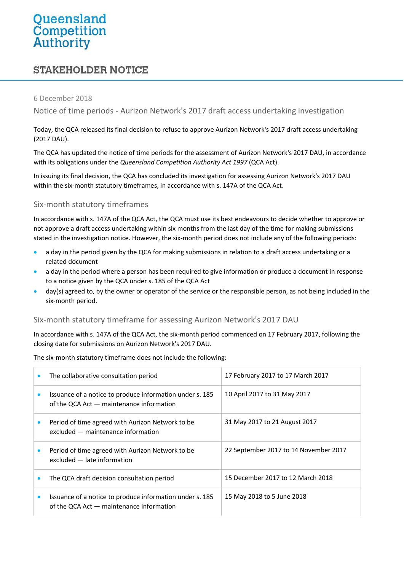# Queensland<br>Competition<br>Authority

# **STAKEHOLDER NOTICE**

#### 6 December 2018

Notice of time periods - Aurizon Network's 2017 draft access undertaking investigation

Today, the QCA released its final decision to refuse to approve Aurizon Network's 2017 draft access undertaking (2017 DAU).

The QCA has updated the notice of time periods for the assessment of Aurizon Network's 2017 DAU, in accordance with its obligations under the *Queensland Competition Authority Act 1997* (QCA Act).

In issuing its final decision, the QCA has concluded its investigation for assessing Aurizon Network's 2017 DAU within the six-month statutory timeframes, in accordance with s. 147A of the QCA Act.

## Six-month statutory timeframes

In accordance with s. 147A of the QCA Act, the QCA must use its best endeavours to decide whether to approve or not approve a draft access undertaking within six months from the last day of the time for making submissions stated in the investigation notice. However, the six-month period does not include any of the following periods:

- a day in the period given by the QCA for making submissions in relation to a draft access undertaking or a related document
- a day in the period where a person has been required to give information or produce a document in response to a notice given by the QCA under s. 185 of the QCA Act
- day(s) agreed to, by the owner or operator of the service or the responsible person, as not being included in the six-month period.

#### Six-month statutory timeframe for assessing Aurizon Network's 2017 DAU

In accordance with s. 147A of the QCA Act, the six-month period commenced on 17 February 2017, following the closing date for submissions on Aurizon Network's 2017 DAU.

The six-month statutory timeframe does not include the following:

| The collaborative consultation period                                                                  | 17 February 2017 to 17 March 2017     |
|--------------------------------------------------------------------------------------------------------|---------------------------------------|
| Issuance of a notice to produce information under s. 185<br>of the QCA Act - maintenance information   | 10 April 2017 to 31 May 2017          |
| Period of time agreed with Aurizon Network to be<br>excluded - maintenance information                 | 31 May 2017 to 21 August 2017         |
| Period of time agreed with Aurizon Network to be<br>excluded - late information                        | 22 September 2017 to 14 November 2017 |
| The QCA draft decision consultation period                                                             | 15 December 2017 to 12 March 2018     |
| Issuance of a notice to produce information under s. 185<br>of the QCA Act $-$ maintenance information | 15 May 2018 to 5 June 2018            |